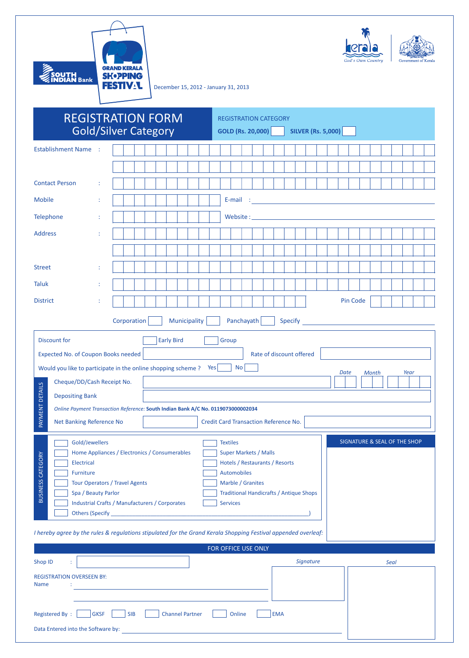

 $\ddot{\bullet}$ keral

December 15, 2012 - January 31, 2013

|                                                                                                                                                                                 | <b>REGISTRATION FORM</b>    | <b>REGISTRATION CATEGORY</b>                                                                                                                                                                                                         |
|---------------------------------------------------------------------------------------------------------------------------------------------------------------------------------|-----------------------------|--------------------------------------------------------------------------------------------------------------------------------------------------------------------------------------------------------------------------------------|
|                                                                                                                                                                                 | <b>Gold/Silver Category</b> | <b>SILVER (Rs. 5,000)</b><br><b>GOLD (Rs. 20,000)</b>                                                                                                                                                                                |
| <b>Establishment Name</b>                                                                                                                                                       |                             |                                                                                                                                                                                                                                      |
|                                                                                                                                                                                 |                             |                                                                                                                                                                                                                                      |
| <b>Contact Person</b>                                                                                                                                                           |                             |                                                                                                                                                                                                                                      |
| <b>Mobile</b>                                                                                                                                                                   |                             | E-mail<br><u> 1989 - Johann Barn, mars eta bainar eta bainar eta baina eta baina eta baina eta baina eta baina eta baina e</u>                                                                                                       |
| Telephone                                                                                                                                                                       |                             | <b>Solution Service Service Service Service Service Service Service Service Service Service Service Service Service Service Service Service Service Service Service Service Service Service Service Service Service Service Serv</b> |
| <b>Address</b>                                                                                                                                                                  |                             |                                                                                                                                                                                                                                      |
|                                                                                                                                                                                 |                             |                                                                                                                                                                                                                                      |
| <b>Street</b><br>÷                                                                                                                                                              |                             |                                                                                                                                                                                                                                      |
| <b>Taluk</b>                                                                                                                                                                    |                             |                                                                                                                                                                                                                                      |
| <b>District</b>                                                                                                                                                                 |                             | Pin Code                                                                                                                                                                                                                             |
| Panchayath<br>Corporation<br>Municipality<br>Specify                                                                                                                            |                             |                                                                                                                                                                                                                                      |
| <b>Discount for</b><br><b>Early Bird</b><br>Group                                                                                                                               |                             |                                                                                                                                                                                                                                      |
| Rate of discount offered<br>Expected No. of Coupon Books needed                                                                                                                 |                             |                                                                                                                                                                                                                                      |
| Would you like to participate in the online shopping scheme?<br>No <sub>1</sub><br>Yes  <br>Date<br>Month<br>Year                                                               |                             |                                                                                                                                                                                                                                      |
| Cheque/DD/Cash Receipt No.                                                                                                                                                      |                             |                                                                                                                                                                                                                                      |
| <b>Depositing Bank</b>                                                                                                                                                          |                             |                                                                                                                                                                                                                                      |
| PAYMENT DETAILS<br>Online Payment Transaction Reference: South Indian Bank A/C No. 0119073000002034<br>Net Banking Reference No<br><b>Credit Card Transaction Reference No.</b> |                             |                                                                                                                                                                                                                                      |
| SIGNATURE & SEAL OF THE SHOP<br>Gold/Jewellers<br><b>Textiles</b>                                                                                                               |                             |                                                                                                                                                                                                                                      |
| Home Appliances / Electronics / Consumerables<br><b>Super Markets / Malls</b>                                                                                                   |                             |                                                                                                                                                                                                                                      |
| <b>BUSINESS CATEGORY</b><br>Hotels / Restaurants / Resorts<br><b>Electrical</b><br><b>Automobiles</b><br><b>Furniture</b>                                                       |                             |                                                                                                                                                                                                                                      |
| Marble / Granites<br><b>Tour Operators / Travel Agents</b>                                                                                                                      |                             |                                                                                                                                                                                                                                      |
| <b>Traditional Handicrafts / Antique Shops</b><br>Spa / Beauty Parlor<br>Industrial Crafts / Manufacturers / Corporates<br><b>Services</b>                                      |                             |                                                                                                                                                                                                                                      |
|                                                                                                                                                                                 |                             |                                                                                                                                                                                                                                      |
| I hereby agree by the rules & regulations stipulated for the Grand Kerala Shopping Festival appended overleaf:                                                                  |                             |                                                                                                                                                                                                                                      |
| FOR OFFICE USE ONLY                                                                                                                                                             |                             |                                                                                                                                                                                                                                      |
| Shop ID<br>÷                                                                                                                                                                    |                             | Signature<br>Seal                                                                                                                                                                                                                    |
| <b>REGISTRATION OVERSEEN BY:</b><br><b>Name</b>                                                                                                                                 |                             |                                                                                                                                                                                                                                      |
| the control of the control of the control of the control of the control of                                                                                                      |                             |                                                                                                                                                                                                                                      |
| <b>Registered By:</b><br><b>GKSF</b><br><b>SIB</b><br><b>Channel Partner</b><br><b>EMA</b><br>Online                                                                            |                             |                                                                                                                                                                                                                                      |
| Data Entered into the Software by:                                                                                                                                              |                             |                                                                                                                                                                                                                                      |